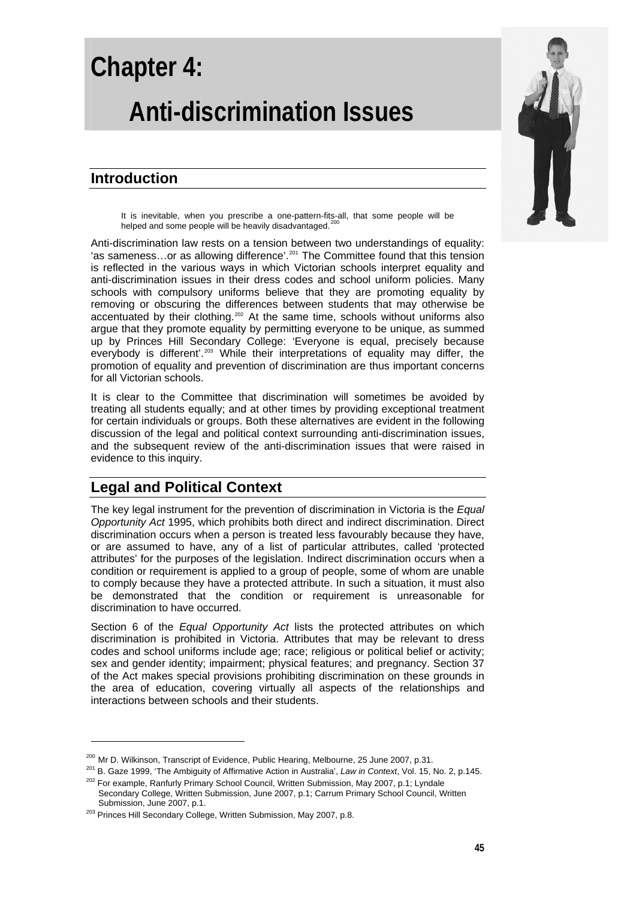# **Chapter 4: Anti-discrimination Issues**

# **Introduction**

It is inevitable, when you prescribe a one-pattern-fits-all, that some people will be helped and some people will be heavily disadvantaged.<sup>[200](#page-0-0)</sup>

Anti-discrimination law rests on a tension between two understandings of equality: 'as sameness...or as allowing difference'.<sup>[201](#page-0-1)</sup> The Committee found that this tension is reflected in the various ways in which Victorian schools interpret equality and anti-discrimination issues in their dress codes and school uniform policies. Many schools with compulsory uniforms believe that they are promoting equality by removing or obscuring the differences between students that may otherwise be accentuated by their clothing.<sup>[202](#page-0-2)</sup> At the same time, schools without uniforms also argue that they promote equality by permitting everyone to be unique, as summed up by Princes Hill Secondary College: 'Everyone is equal, precisely because everybody is different'.[203](#page-0-3) While their interpretations of equality may differ, the promotion of equality and prevention of discrimination are thus important concerns for all Victorian schools.

It is clear to the Committee that discrimination will sometimes be avoided by treating all students equally; and at other times by providing exceptional treatment for certain individuals or groups. Both these alternatives are evident in the following discussion of the legal and political context surrounding anti-discrimination issues, and the subsequent review of the anti-discrimination issues that were raised in evidence to this inquiry.

# **Legal and Political Context**

The key legal instrument for the prevention of discrimination in Victoria is the *Equal Opportunity Act* 1995, which prohibits both direct and indirect discrimination. Direct discrimination occurs when a person is treated less favourably because they have, or are assumed to have, any of a list of particular attributes, called 'protected attributes' for the purposes of the legislation. Indirect discrimination occurs when a condition or requirement is applied to a group of people, some of whom are unable to comply because they have a protected attribute. In such a situation, it must also be demonstrated that the condition or requirement is unreasonable for discrimination to have occurred.

Section 6 of the *Equal Opportunity Act* lists the protected attributes on which discrimination is prohibited in Victoria. Attributes that may be relevant to dress codes and school uniforms include age; race; religious or political belief or activity; sex and gender identity; impairment; physical features; and pregnancy. Section 37 of the Act makes special provisions prohibiting discrimination on these grounds in the area of education, covering virtually all aspects of the relationships and interactions between schools and their students.

<span id="page-0-0"></span><sup>&</sup>lt;sup>200</sup> Mr D. Wilkinson, Transcript of Evidence, Public Hearing, Melbourne, 25 June 2007, p.31.

<span id="page-0-2"></span><span id="page-0-1"></span><sup>&</sup>lt;sup>201</sup> B. Gaze 1999, 'The Ambiguity of Affirmative Action in Australia', *Law in Context*, Vol. 15, No. 2, p.145.<br><sup>202</sup> For example, Ranfurly Primary School Council, Written Submission, May 2007, p.1; Lyndale Secondary College, Written Submission, June 2007, p.1; Carrum Primary School Council, Written<br>Submission, June 2007, p.1.

<span id="page-0-3"></span><sup>&</sup>lt;sup>203</sup> Princes Hill Secondary College, Written Submission, May 2007, p.8.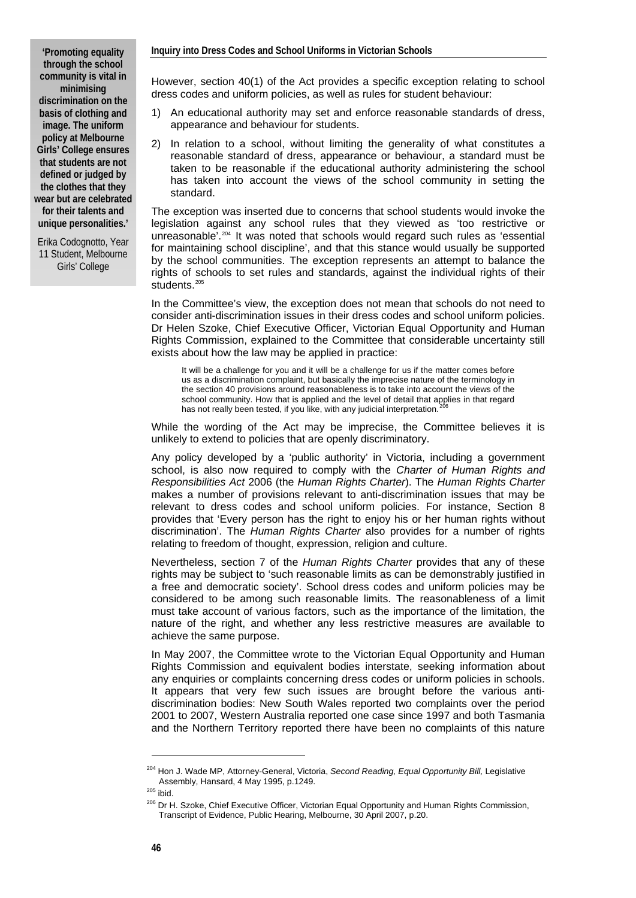**'Promoting equality through the school community is vital in minimising discrimination on the basis of clothing and image. The uniform policy at Melbourne Girls' College ensures that students are not defined or judged by the clothes that they wear but are celebrated for their talents and unique personalities.'**

Erika Codognotto, Year 11 Student, Melbourne Girls' College

However, section 40(1) of the Act provides a specific exception relating to school dress codes and uniform policies, as well as rules for student behaviour:

- 1) An educational authority may set and enforce reasonable standards of dress, appearance and behaviour for students.
- 2) In relation to a school, without limiting the generality of what constitutes a reasonable standard of dress, appearance or behaviour, a standard must be taken to be reasonable if the educational authority administering the school has taken into account the views of the school community in setting the standard.

The exception was inserted due to concerns that school students would invoke the legislation against any school rules that they viewed as 'too restrictive or unreasonable'.<sup>[204](#page-1-0)</sup> It was noted that schools would regard such rules as 'essential for maintaining school discipline', and that this stance would usually be supported by the school communities. The exception represents an attempt to balance the rights of schools to set rules and standards, against the individual rights of their students.<sup>[205](#page-1-1)</sup>

In the Committee's view, the exception does not mean that schools do not need to consider anti-discrimination issues in their dress codes and school uniform policies. Dr Helen Szoke, Chief Executive Officer, Victorian Equal Opportunity and Human Rights Commission, explained to the Committee that considerable uncertainty still exists about how the law may be applied in practice:

It will be a challenge for you and it will be a challenge for us if the matter comes before us as a discrimination complaint, but basically the imprecise nature of the terminology in the section 40 provisions around reasonableness is to take into account the views of the school community. How that is applied and the level of detail that applies in that regard has not really been tested, if you like, with any judicial interpretation.

While the wording of the Act may be imprecise, the Committee believes it is unlikely to extend to policies that are openly discriminatory.

Any policy developed by a 'public authority' in Victoria, including a government school, is also now required to comply with the *Charter of Human Rights and Responsibilities Act* 2006 (the *Human Rights Charter*). The *Human Rights Charter* makes a number of provisions relevant to anti-discrimination issues that may be relevant to dress codes and school uniform policies. For instance, Section 8 provides that 'Every person has the right to enjoy his or her human rights without discrimination'. The *Human Rights Charter* also provides for a number of rights relating to freedom of thought, expression, religion and culture.

Nevertheless, section 7 of the *Human Rights Charter* provides that any of these rights may be subject to 'such reasonable limits as can be demonstrably justified in a free and democratic society'. School dress codes and uniform policies may be considered to be among such reasonable limits. The reasonableness of a limit must take account of various factors, such as the importance of the limitation, the nature of the right, and whether any less restrictive measures are available to achieve the same purpose.

In May 2007, the Committee wrote to the Victorian Equal Opportunity and Human Rights Commission and equivalent bodies interstate, seeking information about any enquiries or complaints concerning dress codes or uniform policies in schools. It appears that very few such issues are brought before the various antidiscrimination bodies: New South Wales reported two complaints over the period 2001 to 2007, Western Australia reported one case since 1997 and both Tasmania and the Northern Territory reported there have been no complaints of this nature

<sup>204</sup> Hon J. Wade MP, Attorney-General, Victoria, *Second Reading, Equal Opportunity Bill,* Legislative

<span id="page-1-2"></span><span id="page-1-1"></span>

<span id="page-1-0"></span>Assembly, Hansard, 1 May 1996, p.1249.<br><sup>205</sup> ibid.<br><sup>206</sup> Dr H. Szoke, Chief Executive Officer, Victorian Equal Opportunity and Human Rights Commission, Transcript of Evidence, Public Hearing, Melbourne, 30 April 2007, p.20.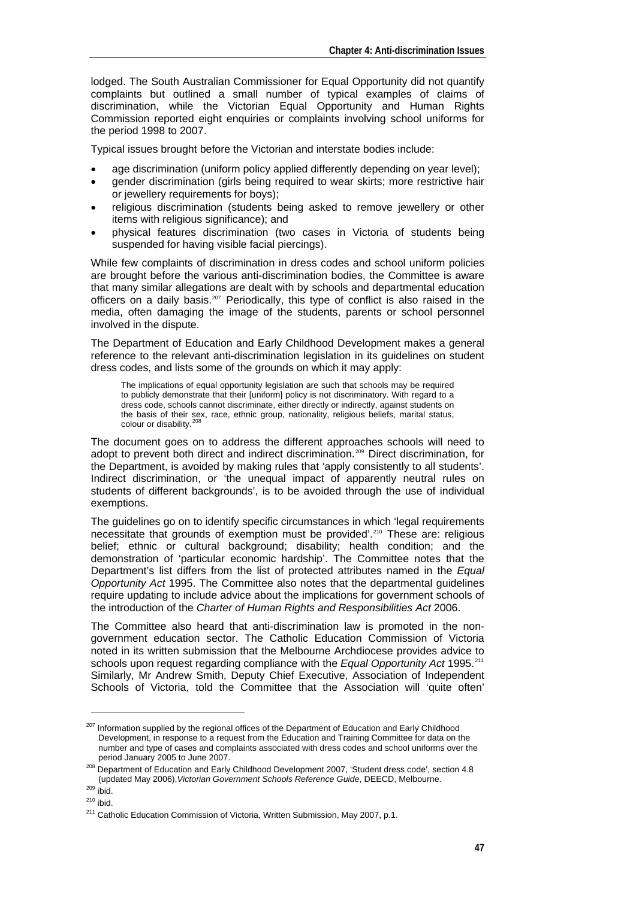lodged. The South Australian Commissioner for Equal Opportunity did not quantify complaints but outlined a small number of typical examples of claims of discrimination, while the Victorian Equal Opportunity and Human Rights Commission reported eight enquiries or complaints involving school uniforms for the period 1998 to 2007.

Typical issues brought before the Victorian and interstate bodies include:

- age discrimination (uniform policy applied differently depending on year level);
- gender discrimination (girls being required to wear skirts; more restrictive hair or jewellery requirements for boys);
- religious discrimination (students being asked to remove jewellery or other items with religious significance); and
- physical features discrimination (two cases in Victoria of students being suspended for having visible facial piercings).

While few complaints of discrimination in dress codes and school uniform policies are brought before the various anti-discrimination bodies, the Committee is aware that many similar allegations are dealt with by schools and departmental education officers on a daily basis.<sup>[207](#page-2-0)</sup> Periodically, this type of conflict is also raised in the media, often damaging the image of the students, parents or school personnel involved in the dispute.

The Department of Education and Early Childhood Development makes a general reference to the relevant anti-discrimination legislation in its guidelines on student dress codes, and lists some of the grounds on which it may apply:

The implications of equal opportunity legislation are such that schools may be required to publicly demonstrate that their [uniform] policy is not discriminatory. With regard to a dress code, schools cannot discriminate, either directly or indirectly, against students on the basis of their sex, race, ethnic group, nationality, religious beliefs, marital status,<br>colour or disability.<sup>[208](#page-2-1)</sup>

The document goes on to address the different approaches schools will need to adopt to prevent both direct and indirect discrimination.<sup>[209](#page-2-2)</sup> Direct discrimination, for the Department, is avoided by making rules that 'apply consistently to all students'. Indirect discrimination, or 'the unequal impact of apparently neutral rules on students of different backgrounds', is to be avoided through the use of individual exemptions.

The guidelines go on to identify specific circumstances in which 'legal requirements necessitate that grounds of exemption must be provided'.<sup>[210](#page-2-3)</sup> These are: religious belief; ethnic or cultural background; disability; health condition; and the demonstration of 'particular economic hardship'. The Committee notes that the Department's list differs from the list of protected attributes named in the *Equal Opportunity Act* 1995. The Committee also notes that the departmental guidelines require updating to include advice about the implications for government schools of the introduction of the *Charter of Human Rights and Responsibilities Act* 2006.

The Committee also heard that anti-discrimination law is promoted in the nongovernment education sector. The Catholic Education Commission of Victoria noted in its written submission that the Melbourne Archdiocese provides advice to schools upon request regarding compliance with the *Equal Opportunity Act* 1995.<sup>[211](#page-2-4)</sup> Similarly, Mr Andrew Smith, Deputy Chief Executive, Association of Independent Schools of Victoria, told the Committee that the Association will 'quite often'

<span id="page-2-0"></span> $207$  Information supplied by the regional offices of the Department of Education and Early Childhood Development, in response to a request from the Education and Training Committee for data on the number and type of cases and complaints associated with dress codes and school uniforms over the

period January 2005 to June 2007.<br><sup>208</sup> Department of Education and Early Childhood Development 2007, 'Student dress code', section 4.8<br>(updated May 2006). Victorian Government Schools Reference Guide. DEECD. Melbourne.

<span id="page-2-4"></span>

<span id="page-2-3"></span><span id="page-2-2"></span><span id="page-2-1"></span><sup>&</sup>lt;sup>209</sup> ibid.<br><sup>210</sup> ibid.<br><sup>211</sup> Catholic Education Commission of Victoria, Written Submission, May 2007, p.1.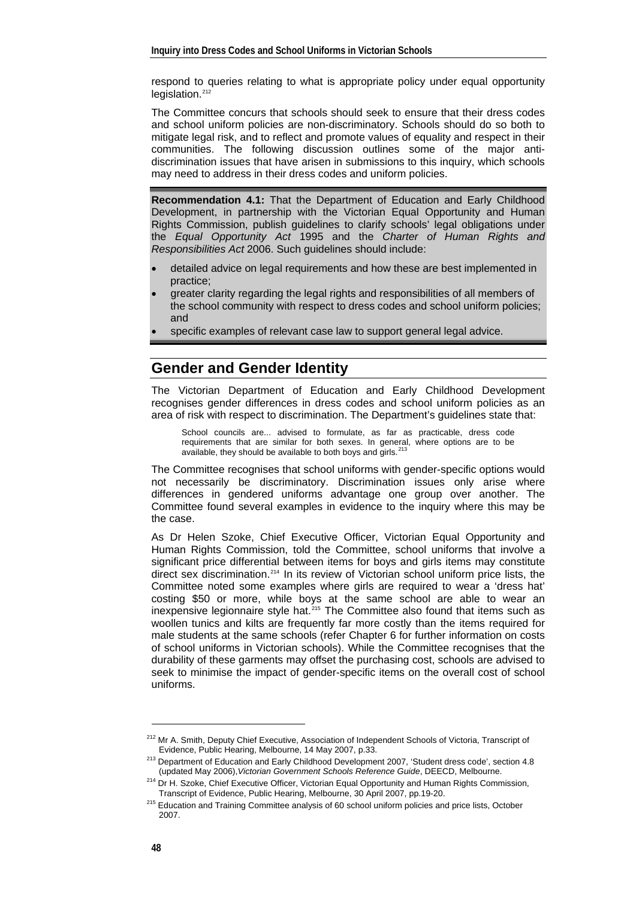respond to queries relating to what is appropriate policy under equal opportunity legislation.<sup>[212](#page-3-0)</sup>

The Committee concurs that schools should seek to ensure that their dress codes and school uniform policies are non-discriminatory. Schools should do so both to mitigate legal risk, and to reflect and promote values of equality and respect in their communities. The following discussion outlines some of the major antidiscrimination issues that have arisen in submissions to this inquiry, which schools may need to address in their dress codes and uniform policies.

**Recommendation 4.1:** That the Department of Education and Early Childhood Development, in partnership with the Victorian Equal Opportunity and Human Rights Commission, publish guidelines to clarify schools' legal obligations under the *Equal Opportunity Act* 1995 and the *Charter of Human Rights and Responsibilities Act* 2006. Such guidelines should include:

- detailed advice on legal requirements and how these are best implemented in practice;
- greater clarity regarding the legal rights and responsibilities of all members of the school community with respect to dress codes and school uniform policies; and
- specific examples of relevant case law to support general legal advice.

#### **Gender and Gender Identity**

The Victorian Department of Education and Early Childhood Development recognises gender differences in dress codes and school uniform policies as an area of risk with respect to discrimination. The Department's guidelines state that:

School councils are... advised to formulate, as far as practicable, dress code requirements that are similar for both sexes. In general, where options are to be available, they should be available to both boys and girls. $^{213}$  $^{213}$  $^{213}$ 

The Committee recognises that school uniforms with gender-specific options would not necessarily be discriminatory. Discrimination issues only arise where differences in gendered uniforms advantage one group over another. The Committee found several examples in evidence to the inquiry where this may be the case.

As Dr Helen Szoke, Chief Executive Officer, Victorian Equal Opportunity and Human Rights Commission, told the Committee, school uniforms that involve a significant price differential between items for boys and girls items may constitute direct sex discrimination.<sup>[214](#page-3-2)</sup> In its review of Victorian school uniform price lists, the Committee noted some examples where girls are required to wear a 'dress hat' costing \$50 or more, while boys at the same school are able to wear an inexpensive legionnaire style hat.[215](#page-3-3) The Committee also found that items such as woollen tunics and kilts are frequently far more costly than the items required for male students at the same schools (refer Chapter 6 for further information on costs of school uniforms in Victorian schools). While the Committee recognises that the durability of these garments may offset the purchasing cost, schools are advised to seek to minimise the impact of gender-specific items on the overall cost of school uniforms.

<span id="page-3-0"></span><sup>&</sup>lt;sup>212</sup> Mr A. Smith, Deputy Chief Executive, Association of Independent Schools of Victoria, Transcript of

<span id="page-3-1"></span>Evidence, Public Hearing, Melbourne, 14 May 2007, p.33. 213 Department of Education and Early Childhood Development 2007, 'Student dress code', section 4.8

<span id="page-3-2"></span><sup>(</sup>updated May 2006),*Victorian Government Schools Reference Guide*, DEECD, Melbourne. 214 Dr H. Szoke, Chief Executive Officer, Victorian Equal Opportunity and Human Rights Commission,

<span id="page-3-3"></span> $215$  Education and Training Committee analysis of 60 school uniform policies and price lists, October 2007.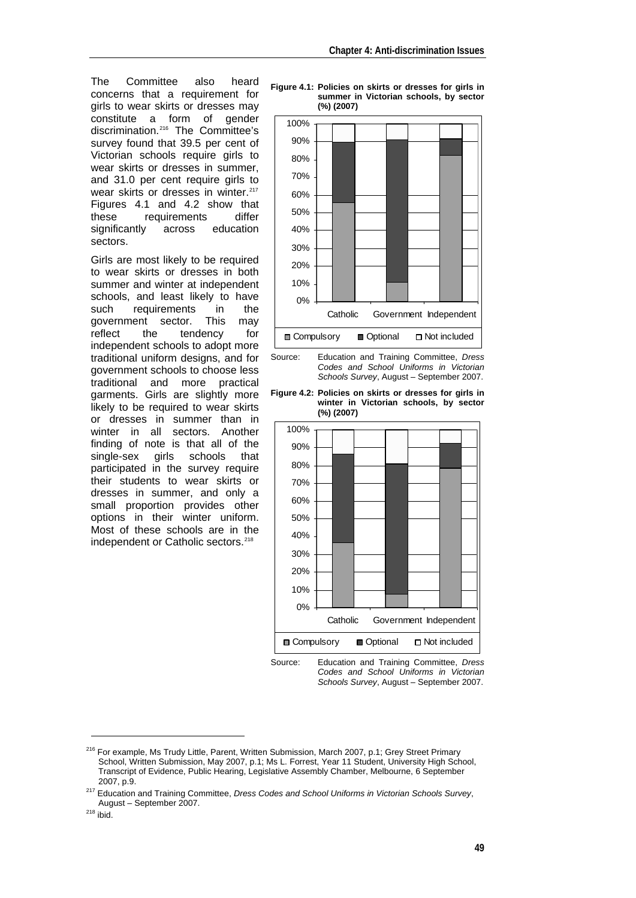The Committee also heard concerns that a requirement for girls to wear skirts or dresses may constitute a form of gender discrimination.[216](#page-4-0) The Committee's survey found that 39.5 per cent of Victorian schools require girls to wear skirts or dresses in summer, and 31.0 per cent require girls to wear skirts or dresses in winter.<sup>[217](#page-4-1)</sup> Figures 4.1 and 4.2 show that these requirements differ<br>significantly across education significantly sectors.

Girls are most likely to be required to wear skirts or dresses in both summer and winter at independent schools, and least likely to have such requirements in the government sector. This may reflect the tendency for independent schools to adopt more traditional uniform designs, and for government schools to choose less traditional and more practical garments. Girls are slightly more likely to be required to wear skirts or dresses in summer than in winter in all sectors. Another finding of note is that all of the single-sex girls schools that participated in the survey require their students to wear skirts or dresses in summer, and only a small proportion provides other options in their winter uniform. Most of these schools are in the independent or Catholic sectors.<sup>[218](#page-4-2)</sup>

**Figure 4.1: Policies on skirts or dresses for girls in summer in Victorian schools, by sector (%) (2007)** 



Source: Education and Training Committee, *Dress Codes and School Uniforms in Victorian Schools Survey*, August – September 2007.

**Figure 4.2: Policies on skirts or dresses for girls in winter in Victorian schools, by sector (%) (2007)** 



Source: Education and Training Committee, *Dress Codes and School Uniforms in Victorian Schools Survey*, August – September 2007.

<span id="page-4-0"></span><sup>&</sup>lt;sup>216</sup> For example, Ms Trudy Little, Parent, Written Submission, March 2007, p.1; Grey Street Primary School, Written Submission, May 2007, p.1; Ms L. Forrest, Year 11 Student, University High School, Transcript of Evidence, Public Hearing, Legislative Assembly Chamber, Melbourne, 6 September 2007, p.9. 217 Education and Training Committee, *Dress Codes and School Uniforms in Victorian Schools Survey*,

<span id="page-4-1"></span>August – September 2007.<br><sup>218</sup> ibid.

<span id="page-4-2"></span>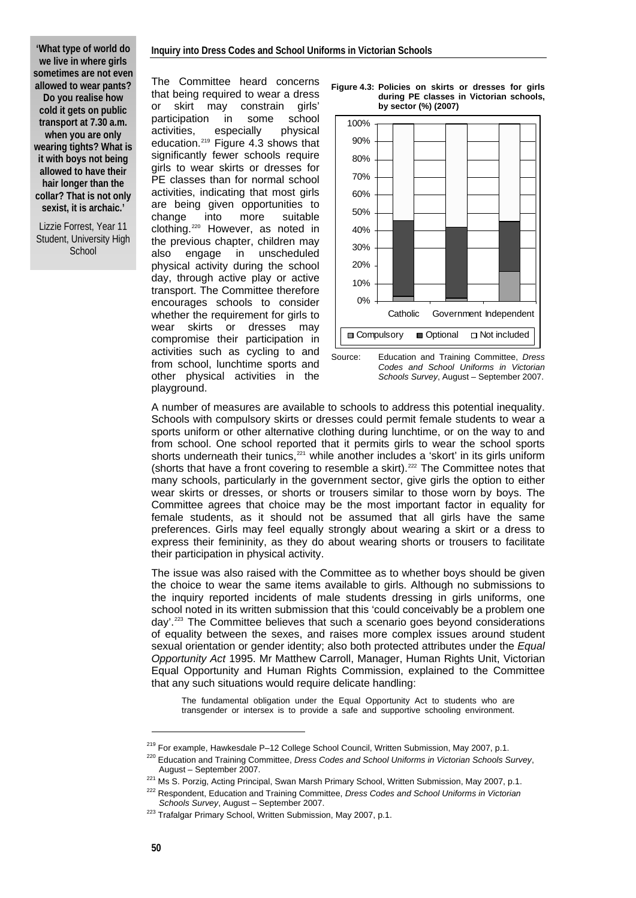#### **Inquiry into Dress Codes and School Uniforms in Victorian Schools**

**'What type of world do we live in where girls sometimes are not even allowed to wear pants? Do you realise how cold it gets on public transport at 7.30 a.m. when you are only wearing tights? What is it with boys not being allowed to have their hair longer than the collar? That is not only sexist, it is archaic.'** 

Lizzie Forrest, Year 11 Student, University High **School** 

The Committee heard concerns that being required to wear a dress or skirt may constrain girls' participation in some school activities, especially physical education.[219](#page-5-0) Figure 4.3 shows that significantly fewer schools require girls to wear skirts or dresses for PE classes than for normal school activities, indicating that most girls are being given opportunities to change into more suitable clothing.[220](#page-5-1) However, as noted in the previous chapter, children may also engage in unscheduled physical activity during the school day, through active play or active transport. The Committee therefore encourages schools to consider whether the requirement for girls to wear skirts or dresses may compromise their participation in activities such as cycling to and from school, lunchtime sports and other physical activities in the playground.





Source: Education and Training Committee, *Dress Codes and School Uniforms in Victorian Schools Survey*, August – September 2007.

A number of measures are available to schools to address this potential inequality. Schools with compulsory skirts or dresses could permit female students to wear a sports uniform or other alternative clothing during lunchtime, or on the way to and from school. One school reported that it permits girls to wear the school sports shorts underneath their tunics, $221$  while another includes a 'skort' in its girls uniform (shorts that have a front covering to resemble a skirt).<sup>[222](#page-5-3)</sup> The Committee notes that many schools, particularly in the government sector, give girls the option to either wear skirts or dresses, or shorts or trousers similar to those worn by boys. The Committee agrees that choice may be the most important factor in equality for female students, as it should not be assumed that all girls have the same preferences. Girls may feel equally strongly about wearing a skirt or a dress to express their femininity, as they do about wearing shorts or trousers to facilitate their participation in physical activity.

The issue was also raised with the Committee as to whether boys should be given the choice to wear the same items available to girls. Although no submissions to the inquiry reported incidents of male students dressing in girls uniforms, one school noted in its written submission that this 'could conceivably be a problem one day'.[223](#page-5-4) The Committee believes that such a scenario goes beyond considerations of equality between the sexes, and raises more complex issues around student sexual orientation or gender identity; also both protected attributes under the *Equal Opportunity Act* 1995. Mr Matthew Carroll, Manager, Human Rights Unit, Victorian Equal Opportunity and Human Rights Commission, explained to the Committee that any such situations would require delicate handling:

The fundamental obligation under the Equal Opportunity Act to students who are transgender or intersex is to provide a safe and supportive schooling environment.

<span id="page-5-0"></span><sup>&</sup>lt;sup>219</sup> For example, Hawkesdale P–12 College School Council, Written Submission, May 2007, p.1.<br><sup>220</sup> Education and Training Committee, *Dress Codes and School Uniforms in Victorian Schools Survey*,

<span id="page-5-2"></span><span id="page-5-1"></span>August – September 2007.<br>
<sup>221</sup> Ms S. Porzig, Acting Principal, Swan Marsh Primary School, Written Submission, May 2007, p.1.<br>
<sup>222</sup> Respondent, Education and Training Committee, *Dress Codes and School Uniforms in Victori* 

<span id="page-5-4"></span><span id="page-5-3"></span><sup>&</sup>lt;sup>223</sup> Trafalgar Primary School, Written Submission, May 2007, p.1.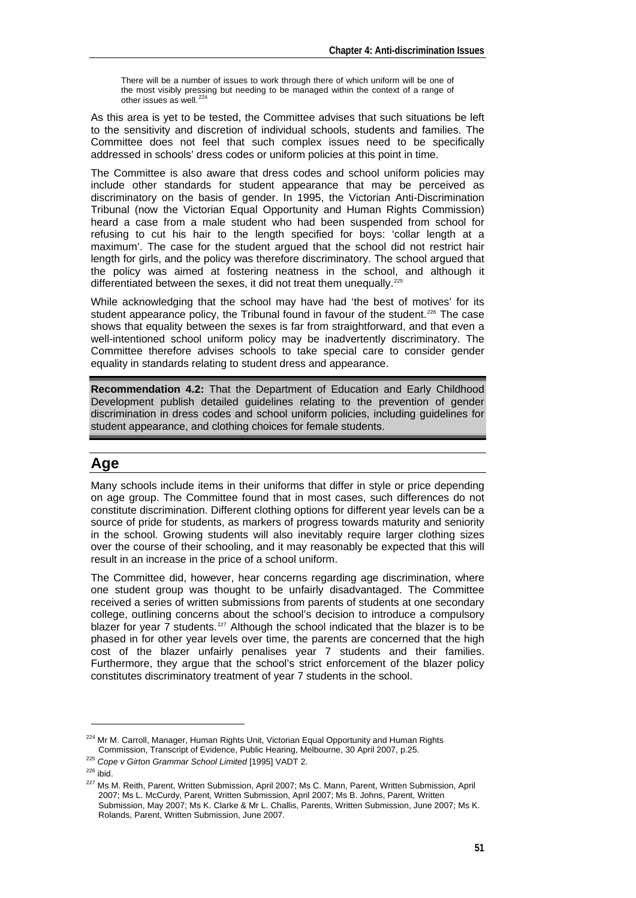There will be a number of issues to work through there of which uniform will be one of the most visibly pressing but needing to be managed within the context of a range of other issues as well. $^{224}$  $^{224}$  $^{224}$ 

As this area is yet to be tested, the Committee advises that such situations be left to the sensitivity and discretion of individual schools, students and families. The Committee does not feel that such complex issues need to be specifically addressed in schools' dress codes or uniform policies at this point in time.

The Committee is also aware that dress codes and school uniform policies may include other standards for student appearance that may be perceived as discriminatory on the basis of gender. In 1995, the Victorian Anti-Discrimination Tribunal (now the Victorian Equal Opportunity and Human Rights Commission) heard a case from a male student who had been suspended from school for refusing to cut his hair to the length specified for boys: 'collar length at a maximum'. The case for the student argued that the school did not restrict hair length for girls, and the policy was therefore discriminatory. The school argued that the policy was aimed at fostering neatness in the school, and although it differentiated between the sexes, it did not treat them unequally.<sup>[225](#page-6-1)</sup>

While acknowledging that the school may have had 'the best of motives' for its student appearance policy, the Tribunal found in favour of the student.<sup>[226](#page-6-2)</sup> The case shows that equality between the sexes is far from straightforward, and that even a well-intentioned school uniform policy may be inadvertently discriminatory. The Committee therefore advises schools to take special care to consider gender equality in standards relating to student dress and appearance.

**Recommendation 4.2:** That the Department of Education and Early Childhood Development publish detailed guidelines relating to the prevention of gender discrimination in dress codes and school uniform policies, including guidelines for student appearance, and clothing choices for female students.

# **Age**

Many schools include items in their uniforms that differ in style or price depending on age group. The Committee found that in most cases, such differences do not constitute discrimination. Different clothing options for different year levels can be a source of pride for students, as markers of progress towards maturity and seniority in the school. Growing students will also inevitably require larger clothing sizes over the course of their schooling, and it may reasonably be expected that this will result in an increase in the price of a school uniform.

The Committee did, however, hear concerns regarding age discrimination, where one student group was thought to be unfairly disadvantaged. The Committee received a series of written submissions from parents of students at one secondary college, outlining concerns about the school's decision to introduce a compulsory blazer for year  $\overline{7}$  students.<sup>[227](#page-6-3)</sup> Although the school indicated that the blazer is to be phased in for other year levels over time, the parents are concerned that the high cost of the blazer unfairly penalises year 7 students and their families. Furthermore, they argue that the school's strict enforcement of the blazer policy constitutes discriminatory treatment of year 7 students in the school.

<span id="page-6-0"></span><sup>&</sup>lt;sup>224</sup> Mr M. Carroll, Manager, Human Rights Unit, Victorian Equal Opportunity and Human Rights Commission, Transcript of Evidence, Public Hearing, Melbourne, 30 April 2007, p.25. 225 *Cope v Girton Grammar School Limited* [1995] VADT 2.

<span id="page-6-3"></span><span id="page-6-2"></span><span id="page-6-1"></span><sup>&</sup>lt;sup>227</sup> Ms M. Reith. Parent. Written Submission, April 2007; Ms C. Mann, Parent, Written Submission, April 2007; Ms L. McCurdy, Parent, Written Submission, April 2007; Ms B. Johns, Parent, Written Submission, May 2007; Ms K. Clarke & Mr L. Challis, Parents, Written Submission, June 2007; Ms K. Rolands, Parent, Written Submission, June 2007.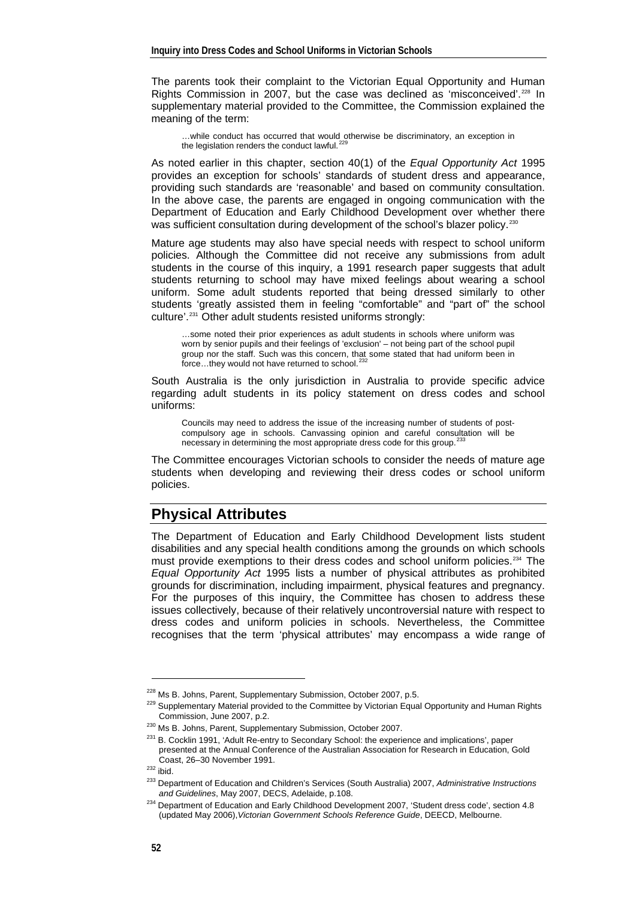The parents took their complaint to the Victorian Equal Opportunity and Human Rights Commission in 2007, but the case was declined as 'misconceived'.<sup>[228](#page-7-0)</sup> In supplementary material provided to the Committee, the Commission explained the meaning of the term:

…while conduct has occurred that would otherwise be discriminatory, an exception in the legislation renders the conduct lawful. $^{22}$ 

As noted earlier in this chapter, section 40(1) of the *Equal Opportunity Act* 1995 provides an exception for schools' standards of student dress and appearance, providing such standards are 'reasonable' and based on community consultation. In the above case, the parents are engaged in ongoing communication with the Department of Education and Early Childhood Development over whether there was sufficient consultation during development of the school's blazer policy.<sup>[230](#page-7-2)</sup>

Mature age students may also have special needs with respect to school uniform policies. Although the Committee did not receive any submissions from adult students in the course of this inquiry, a 1991 research paper suggests that adult students returning to school may have mixed feelings about wearing a school uniform. Some adult students reported that being dressed similarly to other students 'greatly assisted them in feeling "comfortable" and "part of" the school culture'.<sup>[231](#page-7-3)</sup> Other adult students resisted uniforms strongly:

…some noted their prior experiences as adult students in schools where uniform was worn by senior pupils and their feelings of 'exclusion' – not being part of the school pupil group nor the staff. Such was this concern, that some stated that had uniform been in<br>force...they would not have returned to school.<sup>[232](#page-7-4)</sup>

South Australia is the only jurisdiction in Australia to provide specific advice regarding adult students in its policy statement on dress codes and school uniforms:

Councils may need to address the issue of the increasing number of students of postcompulsory age in schools. Canvassing opinion and careful consultation will be necessary in determining the most appropriate dress code for this group.<sup>2</sup>

The Committee encourages Victorian schools to consider the needs of mature age students when developing and reviewing their dress codes or school uniform policies.

## **Physical Attributes**

The Department of Education and Early Childhood Development lists student disabilities and any special health conditions among the grounds on which schools must provide exemptions to their dress codes and school uniform policies.<sup>[234](#page-7-6)</sup> The *Equal Opportunity Act* 1995 lists a number of physical attributes as prohibited grounds for discrimination, including impairment, physical features and pregnancy. For the purposes of this inquiry, the Committee has chosen to address these issues collectively, because of their relatively uncontroversial nature with respect to dress codes and uniform policies in schools. Nevertheless, the Committee recognises that the term 'physical attributes' may encompass a wide range of

<span id="page-7-1"></span><span id="page-7-0"></span><sup>&</sup>lt;sup>228</sup> Ms B. Johns, Parent, Supplementary Submission, October 2007, p.5.<br><sup>229</sup> Supplementary Material provided to the Committee by Victorian Equal Opportunity and Human Rights<br>Commission. June 2007. p.2.

<span id="page-7-2"></span><sup>&</sup>lt;sup>230</sup> Ms B. Johns, Parent, Supplementary Submission, October 2007.<br><sup>231</sup> B. Cocklin 1991, 'Adult Re-entry to Secondary School: the experience and implications', paper presented at the Annual Conference of the Australian Association for Research in Education, Gold

<span id="page-7-4"></span>

<span id="page-7-3"></span>Coast, 26–30 November 1991.<br>
<sup>232</sup> ibid. 233 Department of Education and Children's Services (South Australia) 2007, *Administrative Instructions*<br> *233* Department of Education and Children's Services (South Australia) 20

<span id="page-7-6"></span><span id="page-7-5"></span><sup>&</sup>lt;sup>234</sup> Department of Education and Early Childhood Development 2007, 'Student dress code', section 4.8 (updated May 2006),*Victorian Government Schools Reference Guide*, DEECD, Melbourne.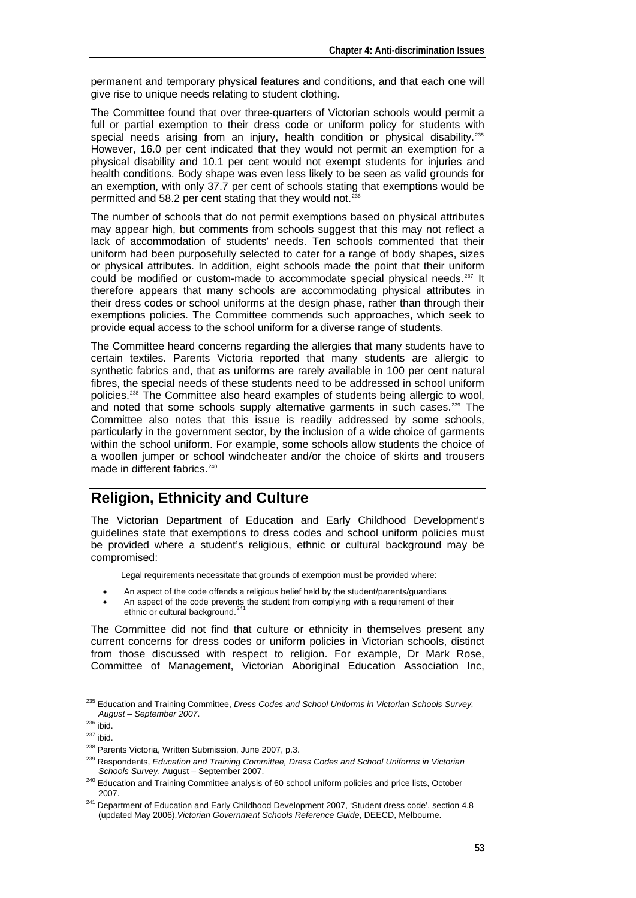permanent and temporary physical features and conditions, and that each one will give rise to unique needs relating to student clothing.

The Committee found that over three-quarters of Victorian schools would permit a full or partial exemption to their dress code or uniform policy for students with special needs arising from an injury, health condition or physical disability.<sup>[235](#page-8-0)</sup> However, 16.0 per cent indicated that they would not permit an exemption for a physical disability and 10.1 per cent would not exempt students for injuries and health conditions. Body shape was even less likely to be seen as valid grounds for an exemption, with only 37.7 per cent of schools stating that exemptions would be permitted and 58.2 per cent stating that they would not.<sup>[236](#page-8-1)</sup>

The number of schools that do not permit exemptions based on physical attributes may appear high, but comments from schools suggest that this may not reflect a lack of accommodation of students' needs. Ten schools commented that their uniform had been purposefully selected to cater for a range of body shapes, sizes or physical attributes. In addition, eight schools made the point that their uniform could be modified or custom-made to accommodate special physical needs.<sup>[237](#page-8-2)</sup> It therefore appears that many schools are accommodating physical attributes in their dress codes or school uniforms at the design phase, rather than through their exemptions policies. The Committee commends such approaches, which seek to provide equal access to the school uniform for a diverse range of students.

The Committee heard concerns regarding the allergies that many students have to certain textiles. Parents Victoria reported that many students are allergic to synthetic fabrics and, that as uniforms are rarely available in 100 per cent natural fibres, the special needs of these students need to be addressed in school uniform policies.[238](#page-8-3) The Committee also heard examples of students being allergic to wool, and noted that some schools supply alternative garments in such cases.<sup>[239](#page-8-4)</sup> The Committee also notes that this issue is readily addressed by some schools, particularly in the government sector, by the inclusion of a wide choice of garments within the school uniform. For example, some schools allow students the choice of a woollen jumper or school windcheater and/or the choice of skirts and trousers made in different fabrics.<sup>[240](#page-8-5)</sup>

## **Religion, Ethnicity and Culture**

The Victorian Department of Education and Early Childhood Development's guidelines state that exemptions to dress codes and school uniform policies must be provided where a student's religious, ethnic or cultural background may be compromised:

Legal requirements necessitate that grounds of exemption must be provided where:

- An aspect of the code offends a religious belief held by the student/parents/guardians
- An aspect of the code prevents the student from complying with a requirement of their ethnic or cultural background.<sup>[241](#page-8-6)</sup>

The Committee did not find that culture or ethnicity in themselves present any current concerns for dress codes or uniform policies in Victorian schools, distinct from those discussed with respect to religion. For example, Dr Mark Rose, Committee of Management, Victorian Aboriginal Education Association Inc,

<span id="page-8-0"></span><sup>&</sup>lt;sup>235</sup> Education and Training Committee, *Dress Codes and School Uniforms in Victorian Schools Survey,* August – September 2007.

<span id="page-8-3"></span>

<span id="page-8-2"></span><span id="page-8-1"></span><sup>&</sup>lt;sup>236</sup> ibid.<br><sup>237</sup> ibid. <sup>237</sup> Parents Victoria, Written Submission, June 2007, p.3. <br><sup>239</sup> Respondents, *Education and Training Committee, Dress Codes and School Uniforms in Victorian* 

<span id="page-8-4"></span>*Schools Survey*, August – September 2007. 240 Education and Training Committee analysis of 60 school uniform policies and price lists, October

<span id="page-8-6"></span><span id="page-8-5"></span><sup>2007.&</sup>lt;br><sup>241</sup> Department of Education and Early Childhood Development 2007, 'Student dress code', section 4.8 (updated May 2006),*Victorian Government Schools Reference Guide*, DEECD, Melbourne.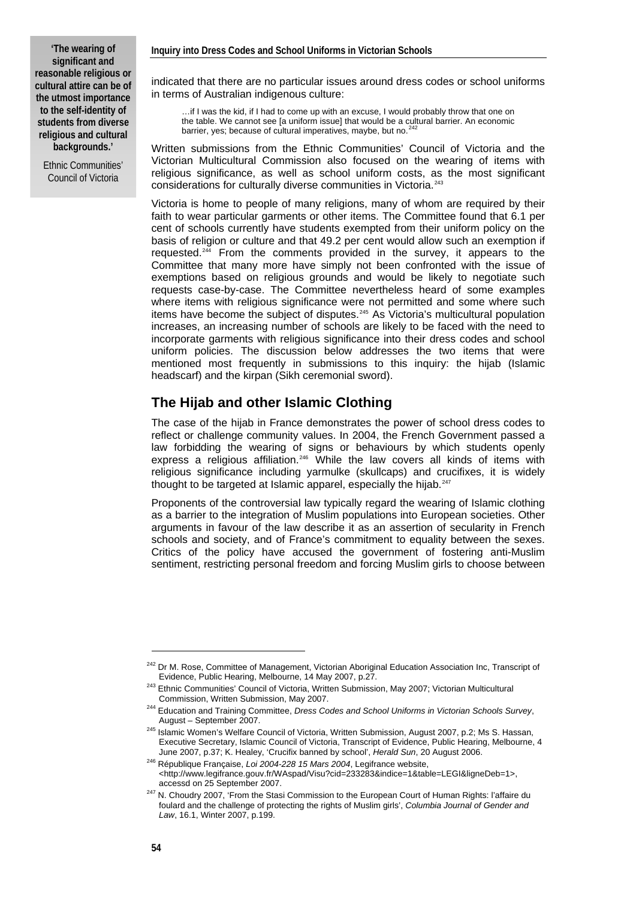Ethnic Communities' Council of Victoria

indicated that there are no particular issues around dress codes or school uniforms in terms of Australian indigenous culture:

…if I was the kid, if I had to come up with an excuse, I would probably throw that one on the table. We cannot see [a uniform issue] that would be a cultural barrier. An economic barrier, yes; because of cultural imperatives, maybe, but no.<sup>2</sup>

Written submissions from the Ethnic Communities' Council of Victoria and the Victorian Multicultural Commission also focused on the wearing of items with religious significance, as well as school uniform costs, as the most significant considerations for culturally diverse communities in Victoria.<sup>[243](#page-9-1)</sup>

Victoria is home to people of many religions, many of whom are required by their faith to wear particular garments or other items. The Committee found that 6.1 per cent of schools currently have students exempted from their uniform policy on the basis of religion or culture and that 49.2 per cent would allow such an exemption if requested.[244](#page-9-2) From the comments provided in the survey, it appears to the Committee that many more have simply not been confronted with the issue of exemptions based on religious grounds and would be likely to negotiate such requests case-by-case. The Committee nevertheless heard of some examples where items with religious significance were not permitted and some where such items have become the subject of disputes.[245](#page-9-3) As Victoria's multicultural population increases, an increasing number of schools are likely to be faced with the need to incorporate garments with religious significance into their dress codes and school uniform policies. The discussion below addresses the two items that were mentioned most frequently in submissions to this inquiry: the hijab (Islamic headscarf) and the kirpan (Sikh ceremonial sword).

#### **The Hijab and other Islamic Clothing**

The case of the hijab in France demonstrates the power of school dress codes to reflect or challenge community values. In 2004, the French Government passed a law forbidding the wearing of signs or behaviours by which students openly express a religious affiliation.<sup>246</sup> While the law covers all kinds of items with religious significance including yarmulke (skullcaps) and crucifixes, it is widely thought to be targeted at Islamic apparel, especially the hijab.<sup>[247](#page-9-5)</sup>

Proponents of the controversial law typically regard the wearing of Islamic clothing as a barrier to the integration of Muslim populations into European societies. Other arguments in favour of the law describe it as an assertion of secularity in French schools and society, and of France's commitment to equality between the sexes. Critics of the policy have accused the government of fostering anti-Muslim sentiment, restricting personal freedom and forcing Muslim girls to choose between

<span id="page-9-0"></span><sup>&</sup>lt;sup>242</sup> Dr M. Rose, Committee of Management, Victorian Aboriginal Education Association Inc, Transcript of Evidence, Public Hearing, Melbourne, 14 May 2007, p.27.

<sup>&</sup>lt;sup>243</sup> Ethnic Communities' Council of Victoria, Written Submission, May 2007; Victorian Multicultural

<span id="page-9-1"></span>Commission, Written Submission, May 2007. 244 Education and Training Committee, *Dress Codes and School Uniforms in Victorian Schools Survey*,

<span id="page-9-3"></span><span id="page-9-2"></span>August – September 2007.<br><sup>245</sup> Islamic Women's Welfare Council of Victoria, Written Submission, August 2007, p.2; Ms S. Hassan, Executive Secretary, Islamic Council of Victoria, Transcript of Evidence, Public Hearing, Melbourne, 4<br>June 2007, p.37; K. Healey, 'Crucifix banned by school', Herald Sun, 20 August 2006.

<span id="page-9-4"></span><sup>&</sup>lt;sup>246</sup> République Francaise, *Loi 2004-228 15 Mars 2004*, Legifrance website, <[http://www.legifrance.gouv.fr/WAspad/Visu?cid=233283&indice=1&table=LEGI&ligneDeb=1>](http://www.legifrance.gouv.fr/WAspad/Visu?cid=233283&indice=1&table=LEGI&ligneDeb=1),

<span id="page-9-5"></span>accessd on 25 September 2007.<br><sup>247</sup> N. Choudry 2007, 'From the Stasi Commission to the European Court of Human Rights: l'affaire du foulard and the challenge of protecting the rights of Muslim girls', *Columbia Journal of Gender and Law*, 16.1, Winter 2007, p.199.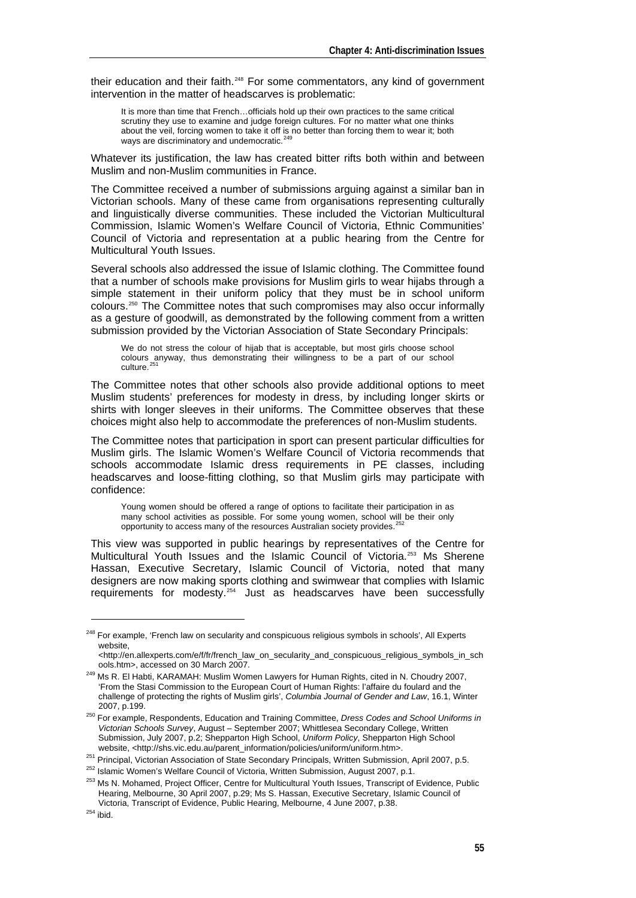their education and their faith.<sup>[248](#page-10-0)</sup> For some commentators, any kind of government intervention in the matter of headscarves is problematic:

It is more than time that French...officials hold up their own practices to the same critical scrutiny they use to examine and judge foreign cultures. For no matter what one thinks about the veil, forcing women to take it off is no better than forcing them to wear it; both ways are discriminatory and undemocratic.<sup>[249](#page-10-1)</sup>

Whatever its justification, the law has created bitter rifts both within and between Muslim and non-Muslim communities in France.

The Committee received a number of submissions arguing against a similar ban in Victorian schools. Many of these came from organisations representing culturally and linguistically diverse communities. These included the Victorian Multicultural Commission, Islamic Women's Welfare Council of Victoria, Ethnic Communities' Council of Victoria and representation at a public hearing from the Centre for Multicultural Youth Issues.

Several schools also addressed the issue of Islamic clothing. The Committee found that a number of schools make provisions for Muslim girls to wear hijabs through a simple statement in their uniform policy that they must be in school uniform colours.[250](#page-10-2) The Committee notes that such compromises may also occur informally as a gesture of goodwill, as demonstrated by the following comment from a written submission provided by the Victorian Association of State Secondary Principals:

We do not stress the colour of hijab that is acceptable, but most girls choose school colours anyway, thus demonstrating their willingness to be a part of our school  $culture<sup>251</sup>$  $culture<sup>251</sup>$  $culture<sup>251</sup>$ 

The Committee notes that other schools also provide additional options to meet Muslim students' preferences for modesty in dress, by including longer skirts or shirts with longer sleeves in their uniforms. The Committee observes that these choices might also help to accommodate the preferences of non-Muslim students.

The Committee notes that participation in sport can present particular difficulties for Muslim girls. The Islamic Women's Welfare Council of Victoria recommends that schools accommodate Islamic dress requirements in PE classes, including headscarves and loose-fitting clothing, so that Muslim girls may participate with confidence:

Young women should be offered a range of options to facilitate their participation in as many school activities as possible. For some young women, school will be their only<br>opportunity to access many of the resources Australian society provides.<sup>[252](#page-10-4)</sup>

This view was supported in public hearings by representatives of the Centre for Multicultural Youth Issues and the Islamic Council of Victoria.<sup>[253](#page-10-5)</sup> Ms Sherene Hassan, Executive Secretary, Islamic Council of Victoria, noted that many designers are now making sports clothing and swimwear that complies with Islamic requirements for modesty.[254](#page-10-6) Just as headscarves have been successfully

<span id="page-10-0"></span><sup>&</sup>lt;sup>248</sup> For example, 'French law on secularity and conspicuous religious symbols in schools', All Experts website,

<sup>&</sup>lt;http://en.allexperts.com/e/f/fr/french\_law\_on\_secularity\_and\_conspicuous\_religious\_symbols\_in\_sch

<span id="page-10-1"></span><sup>&</sup>lt;sup>249</sup> Ms R. El Habti. KARAMAH: Muslim Women Lawyers for Human Rights, cited in N. Choudry 2007, 'From the Stasi Commission to the European Court of Human Rights: l'affaire du foulard and the challenge of protecting the rights of Muslim girls', *Columbia Journal of Gender and Law*, 16.1, Winter

<span id="page-10-2"></span><sup>2007,</sup> p.199. 250 For example, Respondents, Education and Training Committee, *Dress Codes and School Uniforms in Victorian Schools Survey*, August – September 2007; Whittlesea Secondary College, Written Submission, July 2007, p.2; Shepparton High School, *Uniform Policy*, Shepparton High School

<span id="page-10-5"></span><span id="page-10-4"></span>

<span id="page-10-3"></span>website, <http://shs.vic.edu.au/parent\_information/policies/uniform/uniform.htm>.<br><sup>251</sup> Principal, Victorian Association of State Secondary Principals, Written Submission, April 2007, p.5.<br><sup>252</sup> Islamic Women's Welfare Cou Hearing, Melbourne, 30 April 2007, p.29; Ms S. Hassan, Executive Secretary, Islamic Council of Victoria, Transcript of Evidence, Public Hearing, Melbourne, 4 June 2007, p.38.<br><sup>254</sup> ibid.

<span id="page-10-6"></span>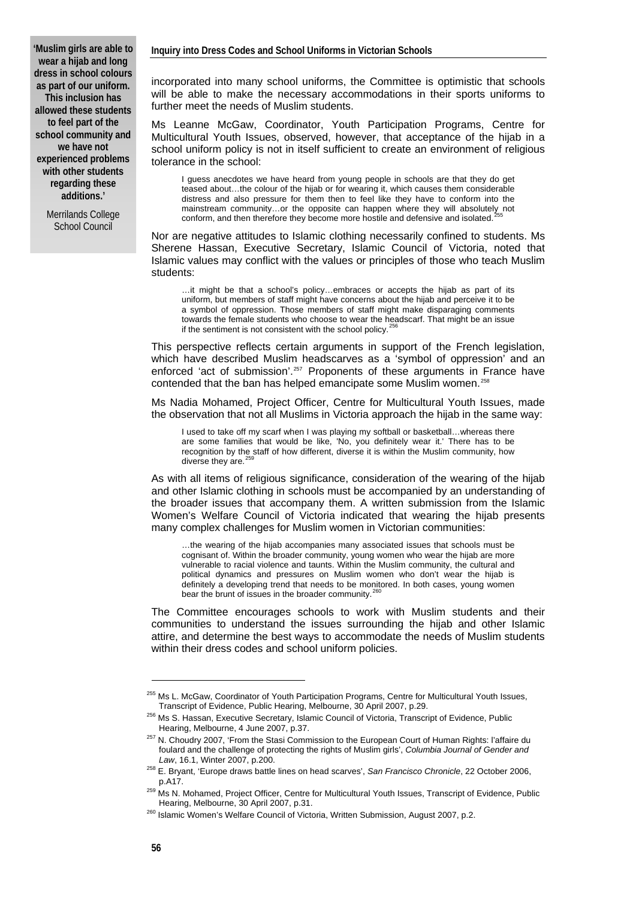**'Muslim girls are able to wear a hijab and long dress in school colours as part of our uniform. This inclusion has allowed these students to feel part of the school community and we have not experienced problems with other students regarding these additions.'** 

> Merrilands College School Council

incorporated into many school uniforms, the Committee is optimistic that schools will be able to make the necessary accommodations in their sports uniforms to further meet the needs of Muslim students.

Ms Leanne McGaw, Coordinator, Youth Participation Programs, Centre for Multicultural Youth Issues, observed, however, that acceptance of the hijab in a school uniform policy is not in itself sufficient to create an environment of religious tolerance in the school:

I guess anecdotes we have heard from young people in schools are that they do get teased about…the colour of the hijab or for wearing it, which causes them considerable distress and also pressure for them then to feel like they have to conform into the mainstream community…or the opposite can happen where they will absolutely not conform, and then therefore they become more hostile and defensive and isolated.

Nor are negative attitudes to Islamic clothing necessarily confined to students. Ms Sherene Hassan, Executive Secretary, Islamic Council of Victoria, noted that Islamic values may conflict with the values or principles of those who teach Muslim students:

…it might be that a school's policy…embraces or accepts the hijab as part of its uniform, but members of staff might have concerns about the hijab and perceive it to be a symbol of oppression. Those members of staff might make disparaging comments towards the female students who choose to wear the headscarf. That might be an issue if the sentiment is not consistent with the school policy. $\dot{3}$ 

This perspective reflects certain arguments in support of the French legislation, which have described Muslim headscarves as a 'symbol of oppression' and an enforced 'act of submission'.<sup>[257](#page-11-2)</sup> Proponents of these arguments in France have contended that the ban has helped emancipate some Muslim women.<sup>[258](#page-11-3)</sup>

Ms Nadia Mohamed, Project Officer, Centre for Multicultural Youth Issues, made the observation that not all Muslims in Victoria approach the hijab in the same way:

I used to take off my scarf when I was playing my softball or basketball...whereas there are some families that would be like, 'No, you definitely wear it.' There has to be recognition by the staff of how different, diverse it is within the Muslim community, how diverse they are. $2$ 

As with all items of religious significance, consideration of the wearing of the hijab and other Islamic clothing in schools must be accompanied by an understanding of the broader issues that accompany them. A written submission from the Islamic Women's Welfare Council of Victoria indicated that wearing the hijab presents many complex challenges for Muslim women in Victorian communities:

…the wearing of the hijab accompanies many associated issues that schools must be cognisant of. Within the broader community, young women who wear the hijab are more vulnerable to racial violence and taunts. Within the Muslim community, the cultural and political dynamics and pressures on Muslim women who don't wear the hijab is definitely a developing trend that needs to be monitored. In both cases, young women bear the brunt of issues in the broader community. $2$ 

The Committee encourages schools to work with Muslim students and their communities to understand the issues surrounding the hijab and other Islamic attire, and determine the best ways to accommodate the needs of Muslim students within their dress codes and school uniform policies.

<sup>&</sup>lt;sup>255</sup> Ms L. McGaw, Coordinator of Youth Participation Programs, Centre for Multicultural Youth Issues,<br>Transcript of Evidence, Public Hearing, Melbourne, 30 April 2007, p.29.

<span id="page-11-1"></span><span id="page-11-0"></span><sup>&</sup>lt;sup>256</sup> Ms S. Hassan, Executive Secretary, Islamic Council of Victoria, Transcript of Evidence, Public<br>Hearing, Melbourne, 4 June 2007, p.37.

<span id="page-11-2"></span><sup>&</sup>lt;sup>257</sup> N. Choudry 2007, 'From the Stasi Commission to the European Court of Human Rights: l'affaire du foulard and the challenge of protecting the rights of Muslim girls', *Columbia Journal of Gender and* 

*Law*, 16.1, Winter 2007, p.200. 258 E. Bryant, 'Europe draws battle lines on head scarves', *San Francisco Chronicle*, 22 October 2006,

<span id="page-11-4"></span><span id="page-11-3"></span>p.A17.<br><sup>259</sup> Ms N. Mohamed, Project Officer, Centre for Multicultural Youth Issues, Transcript of Evidence, Public Hearing, Melbourne, 30 April 2007, p.31.<br><sup>260</sup> Islamic Women's Welfare Council of Victoria, Written Submission, August 2007, p.2.

<span id="page-11-5"></span>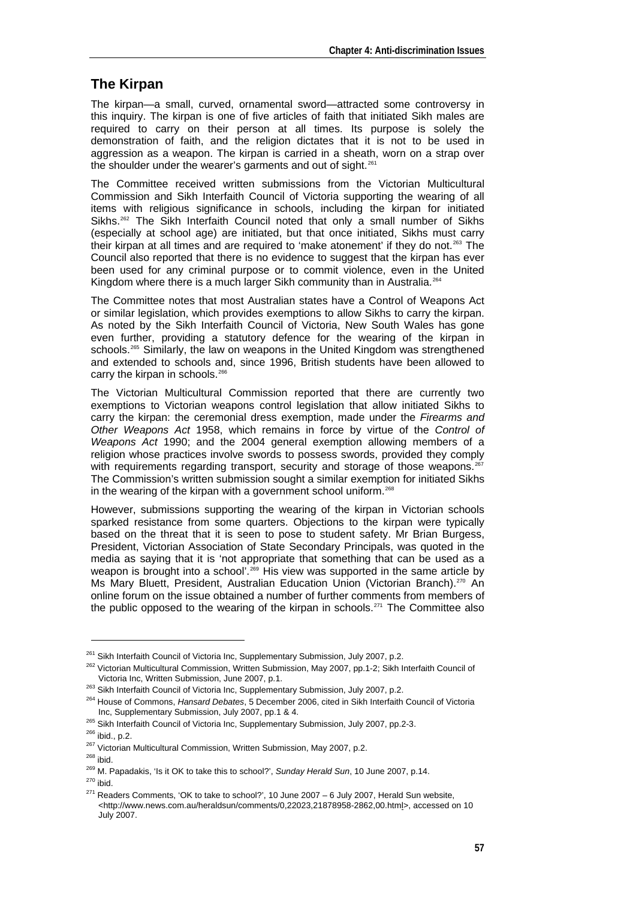#### **The Kirpan**

The kirpan—a small, curved, ornamental sword—attracted some controversy in this inquiry. The kirpan is one of five articles of faith that initiated Sikh males are required to carry on their person at all times. Its purpose is solely the demonstration of faith, and the religion dictates that it is not to be used in aggression as a weapon. The kirpan is carried in a sheath, worn on a strap over the shoulder under the wearer's garments and out of sight.<sup>[261](#page-12-0)</sup>

The Committee received written submissions from the Victorian Multicultural Commission and Sikh Interfaith Council of Victoria supporting the wearing of all items with religious significance in schools, including the kirpan for initiated Sikhs.<sup>[262](#page-12-1)</sup> The Sikh Interfaith Council noted that only a small number of Sikhs (especially at school age) are initiated, but that once initiated, Sikhs must carry their kirpan at all times and are required to 'make atonement' if they do not. $^{263}$  $^{263}$  $^{263}$  The Council also reported that there is no evidence to suggest that the kirpan has ever been used for any criminal purpose or to commit violence, even in the United Kingdom where there is a much larger Sikh community than in Australia.<sup>26</sup>

The Committee notes that most Australian states have a Control of Weapons Act or similar legislation, which provides exemptions to allow Sikhs to carry the kirpan. As noted by the Sikh Interfaith Council of Victoria, New South Wales has gone even further, providing a statutory defence for the wearing of the kirpan in schools.<sup>[265](#page-12-4)</sup> Similarly, the law on weapons in the United Kingdom was strengthened and extended to schools and, since 1996, British students have been allowed to carry the kirpan in schools.<sup>[266](#page-12-5)</sup>

The Victorian Multicultural Commission reported that there are currently two exemptions to Victorian weapons control legislation that allow initiated Sikhs to carry the kirpan: the ceremonial dress exemption, made under the *Firearms and Other Weapons Act* 1958, which remains in force by virtue of the *Control of Weapons Act* 1990; and the 2004 general exemption allowing members of a religion whose practices involve swords to possess swords, provided they comply with requirements regarding transport, security and storage of those weapons.<sup>26</sup> The Commission's written submission sought a similar exemption for initiated Sikhs in the wearing of the kirpan with a government school uniform.<sup>[268](#page-12-7)</sup>

However, submissions supporting the wearing of the kirpan in Victorian schools sparked resistance from some quarters. Objections to the kirpan were typically based on the threat that it is seen to pose to student safety. Mr Brian Burgess, President, Victorian Association of State Secondary Principals, was quoted in the media as saying that it is 'not appropriate that something that can be used as a weapon is brought into a school<sup>'.[269](#page-12-8)</sup> His view was supported in the same article by Ms Mary Bluett, President, Australian Education Union (Victorian Branch).[270](#page-12-9) An online forum on the issue obtained a number of further comments from members of the public opposed to the wearing of the kirpan in schools.<sup>[271](#page-12-10)</sup> The Committee also

<span id="page-12-1"></span><span id="page-12-0"></span><sup>&</sup>lt;sup>261</sup> Sikh Interfaith Council of Victoria Inc, Supplementary Submission, July 2007, p.2.<br><sup>262</sup> Victorian Multicultural Commission, Written Submission, May 2007, pp.1-2; Sikh Interfaith Council of Victoria Inc, Written Submission, June 2007, p.1.<br><sup>263</sup> Sikh Interfaith Council of Victoria Inc, Supplementary Submission, July 2007, p.2.<br><sup>264</sup> House of Commons, *Hansard Debates*, 5 December 2006, cited in Sikh Interfait

<span id="page-12-2"></span>

<span id="page-12-5"></span>

<span id="page-12-7"></span><span id="page-12-6"></span>

<span id="page-12-10"></span><span id="page-12-9"></span><span id="page-12-8"></span>

<span id="page-12-4"></span><span id="page-12-3"></span>Inc, Supplementary Submission, July 2007, pp.1 & 4.<br><sup>265</sup> Sikh Interfaith Council of Victoria Inc, Supplementary Submission, July 2007, pp.2-3.<br><sup>266</sup> ibid., p.2.<br><sup>267</sup> Victorian Multicultural Commission, Written Submission <[http://www.news.com.au/heraldsun/comments/0,22023,21878958-2862,00.html>](http://www.news.com.au/heraldsun/comments/0,22023,21878958-2862,00.html), accessed on 10 July 2007.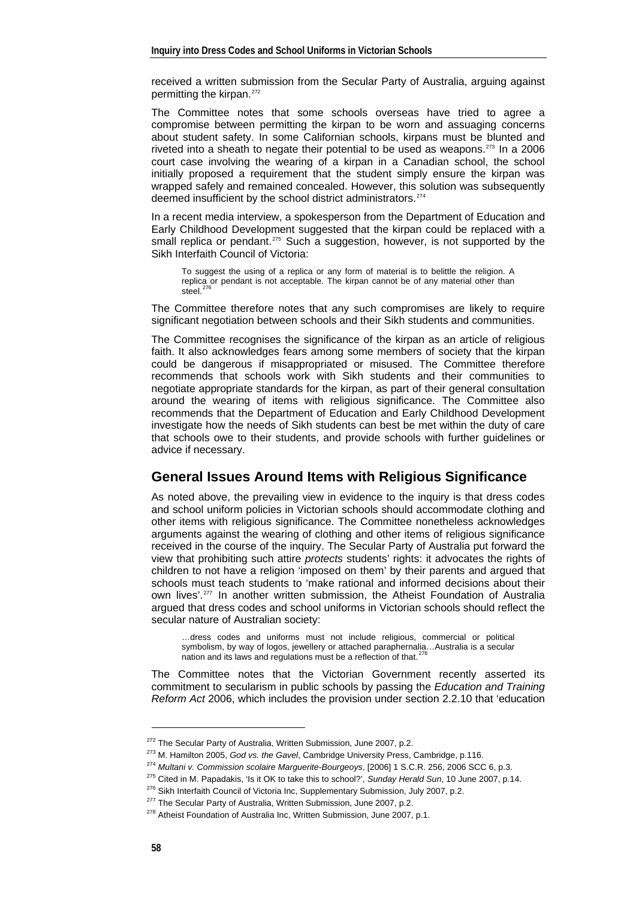received a written submission from the Secular Party of Australia, arguing against permitting the kirpan.<sup>[272](#page-13-0)</sup>

The Committee notes that some schools overseas have tried to agree a compromise between permitting the kirpan to be worn and assuaging concerns about student safety. In some Californian schools, kirpans must be blunted and riveted into a sheath to negate their potential to be used as weapons.<sup>[273](#page-13-1)</sup> In a 2006 court case involving the wearing of a kirpan in a Canadian school, the school initially proposed a requirement that the student simply ensure the kirpan was wrapped safely and remained concealed. However, this solution was subsequently deemed insufficient by the school district administrators.<sup>[274](#page-13-2)</sup>

In a recent media interview, a spokesperson from the Department of Education and Early Childhood Development suggested that the kirpan could be replaced with a small replica or pendant.<sup>[275](#page-13-3)</sup> Such a suggestion, however, is not supported by the Sikh Interfaith Council of Victoria:

To suggest the using of a replica or any form of material is to belittle the religion. A replica or pendant is not acceptable. The kirpan cannot be of any material other than steel. $276$ 

The Committee therefore notes that any such compromises are likely to require significant negotiation between schools and their Sikh students and communities.

The Committee recognises the significance of the kirpan as an article of religious faith. It also acknowledges fears among some members of society that the kirpan could be dangerous if misappropriated or misused. The Committee therefore recommends that schools work with Sikh students and their communities to negotiate appropriate standards for the kirpan, as part of their general consultation around the wearing of items with religious significance. The Committee also recommends that the Department of Education and Early Childhood Development investigate how the needs of Sikh students can best be met within the duty of care that schools owe to their students, and provide schools with further guidelines or advice if necessary.

#### **General Issues Around Items with Religious Significance**

As noted above, the prevailing view in evidence to the inquiry is that dress codes and school uniform policies in Victorian schools should accommodate clothing and other items with religious significance. The Committee nonetheless acknowledges arguments against the wearing of clothing and other items of religious significance received in the course of the inquiry. The Secular Party of Australia put forward the view that prohibiting such attire *protects* students' rights: it advocates the rights of children to not have a religion 'imposed on them' by their parents and argued that schools must teach students to 'make rational and informed decisions about their own lives'.<sup>[277](#page-13-5)</sup> In another written submission, the Atheist Foundation of Australia argued that dress codes and school uniforms in Victorian schools should reflect the secular nature of Australian society:

…dress codes and uniforms must not include religious, commercial or political symbolism, by way of logos, jewellery or attached paraphernalia...Australia is a secular<br>nation and its laws and regulations must be a reflection of that.<sup>[278](#page-13-6)</sup>

The Committee notes that the Victorian Government recently asserted its commitment to secularism in public schools by passing the *Education and Training Reform Act* 2006, which includes the provision under section 2.2.10 that 'education

<span id="page-13-2"></span><span id="page-13-1"></span><span id="page-13-0"></span><sup>&</sup>lt;sup>272</sup> The Secular Party of Australia, Written Submission, June 2007, p.2.<br><sup>273</sup> M. Hamilton 2005, *God vs. the Gavel*, Cambridge University Press, Cambridge, p.116.<br><sup>274</sup> Multani v. Commission scolaire Marguerite-Bourgeoy

<span id="page-13-3"></span>

<span id="page-13-4"></span>

<span id="page-13-6"></span><span id="page-13-5"></span>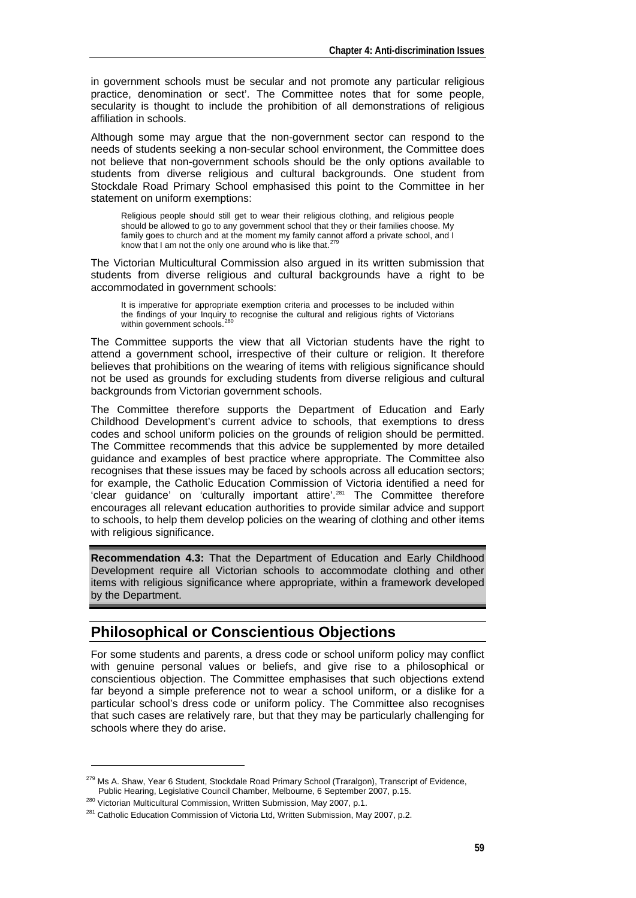in government schools must be secular and not promote any particular religious practice, denomination or sect'. The Committee notes that for some people, secularity is thought to include the prohibition of all demonstrations of religious affiliation in schools.

Although some may argue that the non-government sector can respond to the needs of students seeking a non-secular school environment, the Committee does not believe that non-government schools should be the only options available to students from diverse religious and cultural backgrounds. One student from Stockdale Road Primary School emphasised this point to the Committee in her statement on uniform exemptions:

Religious people should still get to wear their religious clothing, and religious people should be allowed to go to any government school that they or their families choose. My family goes to church and at the moment my family cannot afford a private school, and I know that I am not the only one around who is like that.<sup>2</sup>

The Victorian Multicultural Commission also argued in its written submission that students from diverse religious and cultural backgrounds have a right to be accommodated in government schools:

It is imperative for appropriate exemption criteria and processes to be included within the findings of your Inquiry to recognise the cultural and religious rights of Victorians within government schools.

The Committee supports the view that all Victorian students have the right to attend a government school, irrespective of their culture or religion. It therefore believes that prohibitions on the wearing of items with religious significance should not be used as grounds for excluding students from diverse religious and cultural backgrounds from Victorian government schools.

The Committee therefore supports the Department of Education and Early Childhood Development's current advice to schools, that exemptions to dress codes and school uniform policies on the grounds of religion should be permitted. The Committee recommends that this advice be supplemented by more detailed guidance and examples of best practice where appropriate. The Committee also recognises that these issues may be faced by schools across all education sectors; for example, the Catholic Education Commission of Victoria identified a need for 'clear guidance' on 'culturally important attire'.[281](#page-14-2) The Committee therefore encourages all relevant education authorities to provide similar advice and support to schools, to help them develop policies on the wearing of clothing and other items with religious significance.

**Recommendation 4.3:** That the Department of Education and Early Childhood Development require all Victorian schools to accommodate clothing and other items with religious significance where appropriate, within a framework developed by the Department.

## **Philosophical or Conscientious Objections**

For some students and parents, a dress code or school uniform policy may conflict with genuine personal values or beliefs, and give rise to a philosophical or conscientious objection. The Committee emphasises that such objections extend far beyond a simple preference not to wear a school uniform, or a dislike for a particular school's dress code or uniform policy. The Committee also recognises that such cases are relatively rare, but that they may be particularly challenging for schools where they do arise.

<sup>&</sup>lt;sup>279</sup> Ms A. Shaw, Year 6 Student, Stockdale Road Primary School (Traralgon), Transcript of Evidence,<br>Public Hearing, Legislative Council Chamber, Melbourne, 6 September 2007, p.15.

<span id="page-14-1"></span><span id="page-14-0"></span><sup>&</sup>lt;sup>280</sup> Victorian Multicultural Commission, Written Submission, May 2007, p.1.<br><sup>281</sup> Catholic Education Commission of Victoria Ltd, Written Submission, May 2007, p.2.

<span id="page-14-2"></span>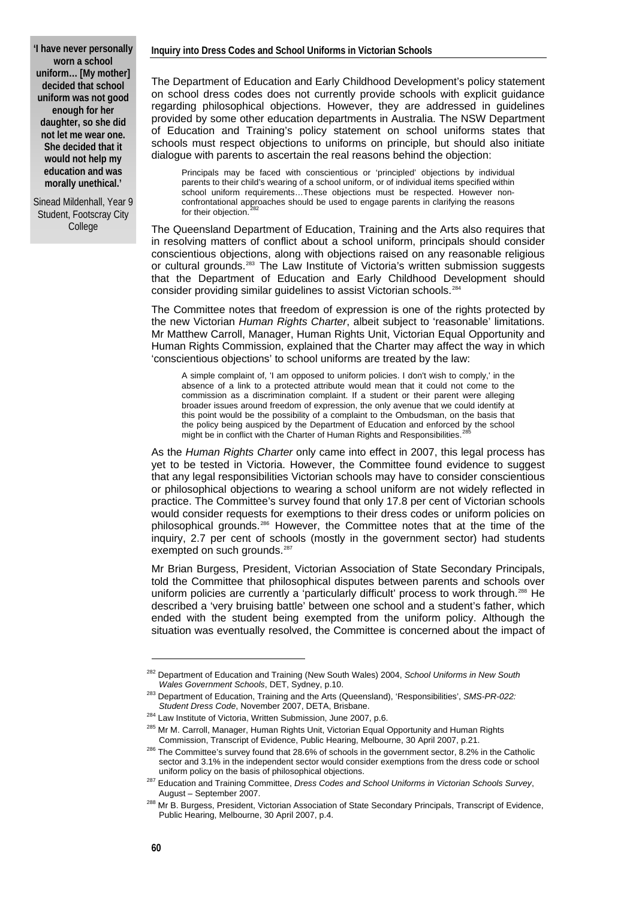#### **Inquiry into Dress Codes and School Uniforms in Victorian Schools**

**'I have never personally worn a school uniform… [My mother] decided that school uniform was not good enough for her daughter, so she did not let me wear one. She decided that it would not help my education and was morally unethical.'** 

Sinead Mildenhall, Year 9 Student, Footscray City College

The Department of Education and Early Childhood Development's policy statement on school dress codes does not currently provide schools with explicit guidance regarding philosophical objections. However, they are addressed in guidelines provided by some other education departments in Australia. The NSW Department of Education and Training's policy statement on school uniforms states that schools must respect objections to uniforms on principle, but should also initiate dialogue with parents to ascertain the real reasons behind the objection:

Principals may be faced with conscientious or 'principled' objections by individual parents to their child's wearing of a school uniform, or of individual items specified within school uniform requirements…These objections must be respected. However nonconfrontational approaches should be used to engage parents in clarifying the reasons for their objection.

The Queensland Department of Education, Training and the Arts also requires that in resolving matters of conflict about a school uniform, principals should consider conscientious objections, along with objections raised on any reasonable religious or cultural grounds.[283](#page-15-1) The Law Institute of Victoria's written submission suggests that the Department of Education and Early Childhood Development should consider providing similar guidelines to assist Victorian schools.[284](#page-15-2)

The Committee notes that freedom of expression is one of the rights protected by the new Victorian *Human Rights Charter*, albeit subject to 'reasonable' limitations. Mr Matthew Carroll, Manager, Human Rights Unit, Victorian Equal Opportunity and Human Rights Commission, explained that the Charter may affect the way in which 'conscientious objections' to school uniforms are treated by the law:

A simple complaint of, 'I am opposed to uniform policies. I don't wish to comply,' in the absence of a link to a protected attribute would mean that it could not come to the commission as a discrimination complaint. If a student or their parent were alleging broader issues around freedom of expression, the only avenue that we could identify at this point would be the possibility of a complaint to the Ombudsman, on the basis that the policy being auspiced by the Department of Education and enforced by the school might be in conflict with the Charter of Human Rights and Responsibilities.<sup>3</sup>

As the *Human Rights Charter* only came into effect in 2007, this legal process has yet to be tested in Victoria. However, the Committee found evidence to suggest that any legal responsibilities Victorian schools may have to consider conscientious or philosophical objections to wearing a school uniform are not widely reflected in practice. The Committee's survey found that only 17.8 per cent of Victorian schools would consider requests for exemptions to their dress codes or uniform policies on philosophical grounds.[286](#page-15-4) However, the Committee notes that at the time of the inquiry, 2.7 per cent of schools (mostly in the government sector) had students exempted on such grounds.<sup>[287](#page-15-5)</sup>

Mr Brian Burgess, President, Victorian Association of State Secondary Principals, told the Committee that philosophical disputes between parents and schools over uniform policies are currently a 'particularly difficult' process to work through.<sup>[288](#page-15-6)</sup> He described a 'very bruising battle' between one school and a student's father, which ended with the student being exempted from the uniform policy. Although the situation was eventually resolved, the Committee is concerned about the impact of

<span id="page-15-0"></span><sup>282</sup> Department of Education and Training (New South Wales) 2004, *School Uniforms in New South* 

<span id="page-15-1"></span>*Wales Government Schools*, DET, Sydney, p.10.<br><sup>283</sup> Department of Education, Training and the Arts (Queensland), 'Responsibilities', *SMS-PR-022:*<br>*Student Dress Code*, November 2007, DETA, Brisbane.

<span id="page-15-2"></span><sup>&</sup>lt;sup>284</sup> Law Institute of Victoria, Written Submission, June 2007, p.6.<br><sup>285</sup> Mr M. Carroll, Manager, Human Rights Unit, Victorian Equal Opportunity and Human Rights<br>Commission, Transcript of Evidence, Public Hearing, Melbour

<span id="page-15-4"></span><span id="page-15-3"></span><sup>&</sup>lt;sup>286</sup> The Committee's survey found that 28.6% of schools in the government sector, 8.2% in the Catholic sector and 3.1% in the independent sector would consider exemptions from the dress code or school

uniform policy on the basis of philosophical objections. 287 Education and Training Committee, *Dress Codes and School Uniforms in Victorian Schools Survey*,

<span id="page-15-6"></span><span id="page-15-5"></span>August – September 2007.<br><sup>288</sup> Mr B. Burgess, President, Victorian Association of State Secondary Principals, Transcript of Evidence, Public Hearing, Melbourne, 30 April 2007, p.4.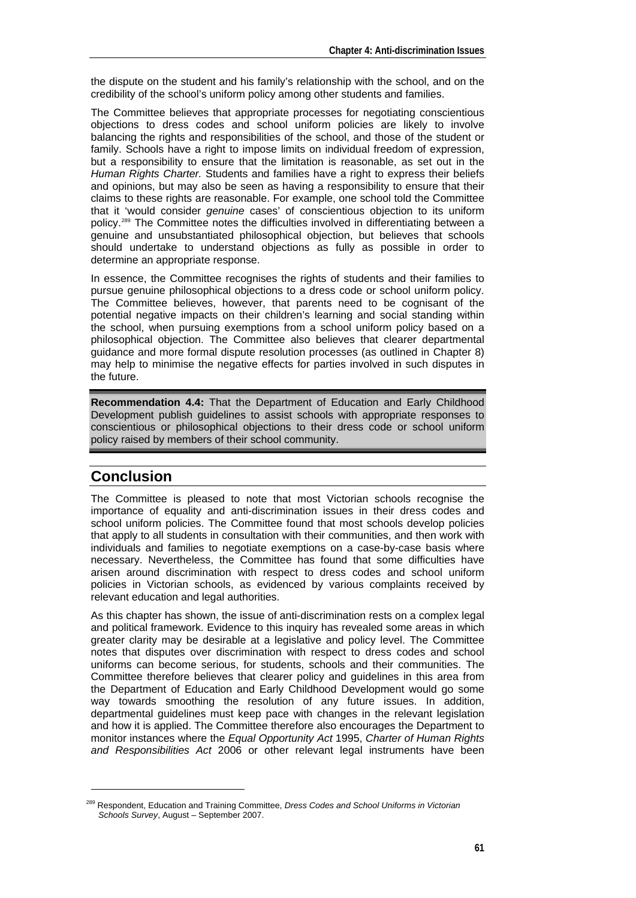the dispute on the student and his family's relationship with the school, and on the credibility of the school's uniform policy among other students and families.

The Committee believes that appropriate processes for negotiating conscientious objections to dress codes and school uniform policies are likely to involve balancing the rights and responsibilities of the school, and those of the student or family. Schools have a right to impose limits on individual freedom of expression, but a responsibility to ensure that the limitation is reasonable, as set out in the *Human Rights Charter.* Students and families have a right to express their beliefs and opinions, but may also be seen as having a responsibility to ensure that their claims to these rights are reasonable. For example, one school told the Committee that it 'would consider *genuine* cases' of conscientious objection to its uniform policy.[289](#page-16-0) The Committee notes the difficulties involved in differentiating between a genuine and unsubstantiated philosophical objection, but believes that schools should undertake to understand objections as fully as possible in order to determine an appropriate response.

In essence, the Committee recognises the rights of students and their families to pursue genuine philosophical objections to a dress code or school uniform policy. The Committee believes, however, that parents need to be cognisant of the potential negative impacts on their children's learning and social standing within the school, when pursuing exemptions from a school uniform policy based on a philosophical objection. The Committee also believes that clearer departmental guidance and more formal dispute resolution processes (as outlined in Chapter 8) may help to minimise the negative effects for parties involved in such disputes in the future.

**Recommendation 4.4:** That the Department of Education and Early Childhood Development publish guidelines to assist schools with appropriate responses to conscientious or philosophical objections to their dress code or school uniform policy raised by members of their school community.

# **Conclusion**

1

The Committee is pleased to note that most Victorian schools recognise the importance of equality and anti-discrimination issues in their dress codes and school uniform policies. The Committee found that most schools develop policies that apply to all students in consultation with their communities, and then work with individuals and families to negotiate exemptions on a case-by-case basis where necessary. Nevertheless, the Committee has found that some difficulties have arisen around discrimination with respect to dress codes and school uniform policies in Victorian schools, as evidenced by various complaints received by relevant education and legal authorities.

As this chapter has shown, the issue of anti-discrimination rests on a complex legal and political framework. Evidence to this inquiry has revealed some areas in which greater clarity may be desirable at a legislative and policy level. The Committee notes that disputes over discrimination with respect to dress codes and school uniforms can become serious, for students, schools and their communities. The Committee therefore believes that clearer policy and guidelines in this area from the Department of Education and Early Childhood Development would go some way towards smoothing the resolution of any future issues. In addition, departmental guidelines must keep pace with changes in the relevant legislation and how it is applied. The Committee therefore also encourages the Department to monitor instances where the *Equal Opportunity Act* 1995, *Charter of Human Rights and Responsibilities Act* 2006 or other relevant legal instruments have been

<span id="page-16-0"></span><sup>289</sup> Respondent, Education and Training Committee, *Dress Codes and School Uniforms in Victorian Schools Survey*, August – September 2007.